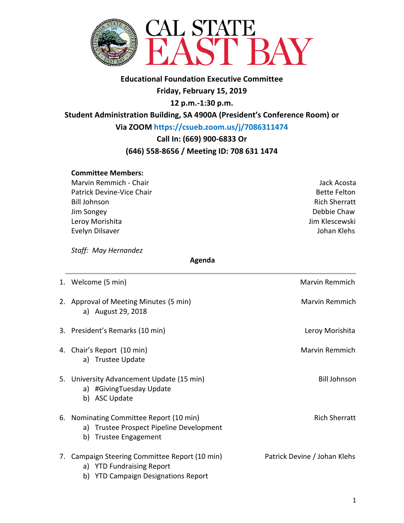

**Educational Foundation Executive Committee Friday, February 15, 2019 12 p.m.-1:30 p.m.**

**Student Administration Building, SA 4900A (President's Conference Room) or**

**Via ZOOM https://csueb.zoom.us/j/7086311474** 

**Call In: (669) 900-6833 Or** 

## **(646) 558-8656 / Meeting ID: 708 631 1474**

### **Committee Members:**

Marvin Remmich - Chair Jack Acosta Patrick Devine-Vice Chair Bette Felton Bill Johnson Rich Sherratt Jim Songey Debbie Chaw Leroy Morishita **Jim Klescewski** Evelyn Dilsaver **Guide Evelyn Dilsaver** Annual Communication and Communication and Communication and Communication

*Staff: May Hernandez* 

 **Agenda**

| 1. Welcome (5 min)                                                                                                     | Marvin Remmich               |
|------------------------------------------------------------------------------------------------------------------------|------------------------------|
| 2. Approval of Meeting Minutes (5 min)<br>a) August 29, 2018                                                           | Marvin Remmich               |
| 3. President's Remarks (10 min)                                                                                        | Leroy Morishita              |
| 4. Chair's Report (10 min)<br>a) Trustee Update                                                                        | Marvin Remmich               |
| 5. University Advancement Update (15 min)<br>a) #GivingTuesday Update<br>b) ASC Update                                 | <b>Bill Johnson</b>          |
| 6. Nominating Committee Report (10 min)<br>a) Trustee Prospect Pipeline Development<br><b>Trustee Engagement</b><br>b) | <b>Rich Sherratt</b>         |
| 7. Campaign Steering Committee Report (10 min)<br>a) YTD Fundraising Report<br>b) YTD Campaign Designations Report     | Patrick Devine / Johan Klehs |